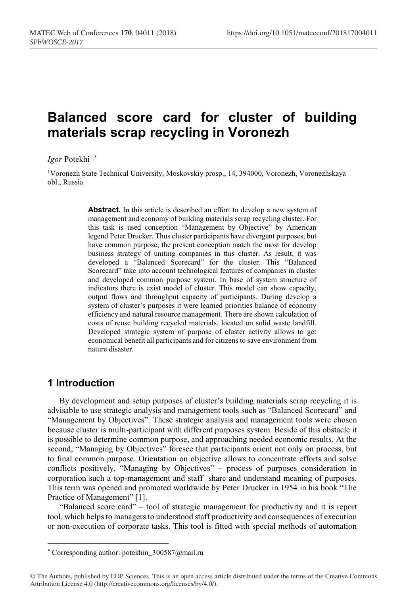# **Balanced score card for cluster of building materials scrap recycling in Voronezh**

*Igor* Potekhi<sup>1,\*</sup>

1Voronezh State Technical University, Moskovskiy prosp., 14, 394000, Voronezh, Voronezhskaya obl., Russia

> Abstract. In this article is described an effort to develop a new system of management and economy of building materials scrap recycling cluster. For this task is used conception "Management by Objective" by American legend Peter Drucker. Thus cluster participants have divergent purposes, but have common purpose, the present conception match the most for develop business strategy of uniting companies in this cluster. As result, it was developed a "Balanced Scorecard" for the cluster. This "Balanced Scorecard" take into account technological features of companies in cluster and developed common purpose system. In base of system structure of indicators there is exist model of cluster. This model can show capacity, output flows and throughput capacity of participants. During develop a system of cluster's purposes it were learned priorities balance of economy efficiency and natural resource management. There are shown calculation of costs of reuse building recycled materials, located on solid waste landfill. Developed strategic system of purpose of cluster activity allows to get economical benefit all participants and for citizens to save environment from nature disaster.

#### **1 Introduction**

 $\overline{\phantom{a}}$ 

By development and setup purposes of cluster's building materials scrap recycling it is advisable to use strategic analysis and management tools such as "Balanced Scorecard" and "Management by Objectives". These strategic analysis and management tools were chosen because cluster is multi-participant with different purposes system. Beside of this obstacle it is possible to determine common purpose, and approaching needed economic results. At the second, "Managing by Objectives" foresee that participants orient not only on process, but to final common purpose. Orientation on objective allows to concentrate efforts and solve conflicts positively. "Managing by Objectives" – process of purposes consideration in corporation such a top-management and staff share and understand meaning of purposes. This term was opened and promoted worldwide by Peter Drucker in 1954 in his book "The Practice of Management" [1].

"Balanced score card" – tool of strategic management for productivity and it is report tool, which helps to managers to understood staff productivity and consequences of execution or non-execution of corporate tasks. This tool is fitted with special methods of automation

<sup>\*</sup> Corresponding author: potekhin\_300587@mail.ru

<sup>©</sup> The Authors, published by EDP Sciences. This is an open access article distributed under the terms of the Creative Commons Attribution License 4.0 (http://creativecommons.org/licenses/by/4.0/).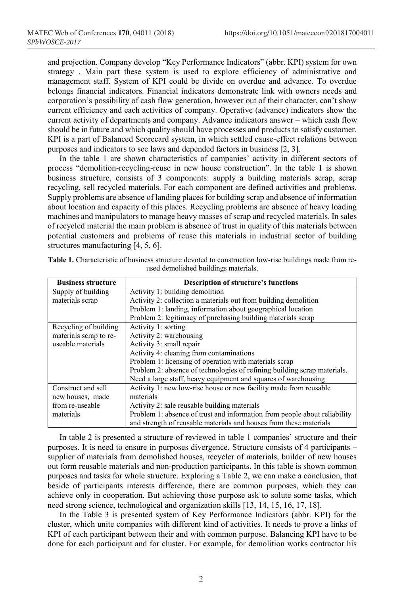and projection. Company develop "Key Performance Indicators" (abbr. KPI) system for own strategy . Main part these system is used to explore efficiency of administrative and management staff. System of KPI could be divide on overdue and advance. To overdue belongs financial indicators. Financial indicators demonstrate link with owners needs and corporation's possibility of cash flow generation, however out of their character, can't show current efficiency and each activities of company. Operative (advance) indicators show the current activity of departments and company. Advance indicators answer – which cash flow should be in future and which quality should have processes and products to satisfy customer. KPI is a part of Balanced Scorecard system, in which settled cause-effect relations between purposes and indicators to see laws and depended factors in business [2, 3].

In the table 1 are shown characteristics of companies' activity in different sectors of process "demolition-recycling-reuse in new house construction". In the table 1 is shown business structure, consists of 3 components: supply a building materials scrap, scrap recycling, sell recycled materials. For each component are defined activities and problems. Supply problems are absence of landing places for building scrap and absence of information about location and capacity of this places. Recycling problems are absence of heavy loading machines and manipulators to manage heavy masses of scrap and recycled materials. In sales of recycled material the main problem is absence of trust in quality of this materials between potential customers and problems of reuse this materials in industrial sector of building structures manufacturing [4, 5, 6].

| <b>Business structure</b> | <b>Description of structure's functions</b>                               |
|---------------------------|---------------------------------------------------------------------------|
| Supply of building        | Activity 1: building demolition                                           |
| materials scrap           | Activity 2: collection a materials out from building demolition           |
|                           | Problem 1: landing, information about geographical location               |
|                           | Problem 2: legitimacy of purchasing building materials scrap              |
| Recycling of building     | Activity 1: sorting                                                       |
| materials scrap to re-    | Activity 2: warehousing                                                   |
| useable materials         | Activity 3: small repair                                                  |
|                           | Activity 4: cleaning from contaminations                                  |
|                           | Problem 1: licensing of operation with materials scrap                    |
|                           | Problem 2: absence of technologies of refining building scrap materials.  |
|                           | Need a large staff, heavy equipment and squares of warehousing            |
| Construct and sell        | Activity 1: new low-rise house or new facility made from reusable         |
| new houses, made          | materials                                                                 |
| from re-useable           | Activity 2: sale reusable building materials                              |
| materials                 | Problem 1: absence of trust and information from people about reliability |
|                           | and strength of reusable materials and houses from these materials        |

**Table 1.** Characteristic of business structure devoted to construction low-rise buildings made from reused demolished buildings materials.

In table 2 is presented a structure of reviewed in table 1 companies' structure and their purposes. It is need to ensure in purposes divergence. Structure consists of 4 participants – supplier of materials from demolished houses, recycler of materials, builder of new houses out form reusable materials and non-production participants. In this table is shown common purposes and tasks for whole structure. Exploring a Table 2, we can make a conclusion, that beside of participants interests difference, there are common purposes, which they can achieve only in cooperation. But achieving those purpose ask to solute some tasks, which need strong science, technological and organization skills [13, 14, 15, 16, 17, 18].

In the Table 3 is presented system of Key Performance Indicators (abbr. KPI) for the cluster, which unite companies with different kind of activities. It needs to prove a links of KPI of each participant between their and with common purpose. Balancing KPI have to be done for each participant and for cluster. For example, for demolition works contractor his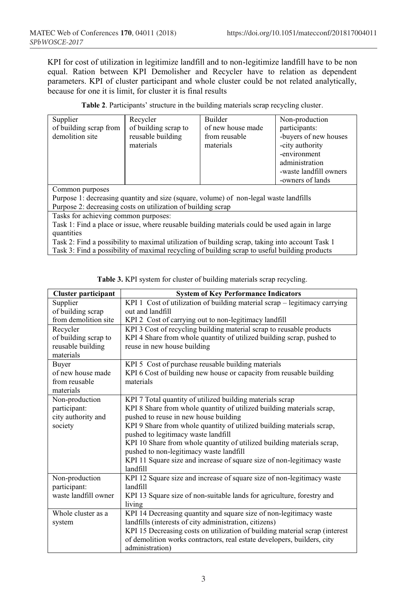KPI for cost of utilization in legitimize landfill and to non-legitimize landfill have to be non equal. Ration between KPI Demolisher and Recycler have to relation as dependent parameters. KPI of cluster participant and whole cluster could be not related analytically, because for one it is limit, for cluster it is final results

| Supplier<br>of building scrap from<br>demolition site                                 | Recycler<br>of building scrap to<br>reusable building<br>materials | Builder<br>of new house made<br>from reusable<br>materials | Non-production<br>participants:<br>-buyers of new houses<br>-city authority<br>-environment<br>administration<br>-waste landfill owners<br>-owners of lands |  |  |
|---------------------------------------------------------------------------------------|--------------------------------------------------------------------|------------------------------------------------------------|-------------------------------------------------------------------------------------------------------------------------------------------------------------|--|--|
| Common purposes                                                                       |                                                                    |                                                            |                                                                                                                                                             |  |  |
| Purpose 1: decreasing quantity and size (square, volume) of non-legal waste landfills |                                                                    |                                                            |                                                                                                                                                             |  |  |

Purpose 2: decreasing costs on utilization of building scrap

Tasks for achieving common purposes:

Task 1: Find a place or issue, where reusable building materials could be used again in large quantities

Task 2: Find a possibility to maximal utilization of building scrap, taking into account Task 1 Task 3: Find a possibility of maximal recycling of building scrap to useful building products

| <b>Cluster participant</b> | <b>System of Key Performance Indicators</b>                                                                       |  |  |
|----------------------------|-------------------------------------------------------------------------------------------------------------------|--|--|
| Supplier                   | KPI 1 Cost of utilization of building material scrap - legitimacy carrying                                        |  |  |
| of building scrap          | out and landfill                                                                                                  |  |  |
| from demolition site       | KPI 2 Cost of carrying out to non-legitimacy landfill                                                             |  |  |
| Recycler                   | KPI 3 Cost of recycling building material scrap to reusable products                                              |  |  |
| of building scrap to       | KPI 4 Share from whole quantity of utilized building scrap, pushed to                                             |  |  |
| reusable building          | reuse in new house building                                                                                       |  |  |
| materials                  |                                                                                                                   |  |  |
| Buyer                      | KPI 5 Cost of purchase reusable building materials                                                                |  |  |
| of new house made          | KPI 6 Cost of building new house or capacity from reusable building                                               |  |  |
| from reusable              | materials                                                                                                         |  |  |
| materials                  |                                                                                                                   |  |  |
| Non-production             | KPI 7 Total quantity of utilized building materials scrap                                                         |  |  |
| participant:               | KPI 8 Share from whole quantity of utilized building materials scrap,                                             |  |  |
| city authority and         | pushed to reuse in new house building                                                                             |  |  |
| society                    | KPI 9 Share from whole quantity of utilized building materials scrap,                                             |  |  |
|                            | pushed to legitimacy waste landfill                                                                               |  |  |
|                            | KPI 10 Share from whole quantity of utilized building materials scrap,<br>pushed to non-legitimacy waste landfill |  |  |
|                            | KPI 11 Square size and increase of square size of non-legitimacy waste                                            |  |  |
|                            | landfill                                                                                                          |  |  |
| Non-production             | KPI 12 Square size and increase of square size of non-legitimacy waste                                            |  |  |
| participant:               | landfill                                                                                                          |  |  |
| waste landfill owner       | KPI 13 Square size of non-suitable lands for agriculture, forestry and                                            |  |  |
|                            | living                                                                                                            |  |  |
| Whole cluster as a         | KPI 14 Decreasing quantity and square size of non-legitimacy waste                                                |  |  |
| system                     | landfills (interests of city administration, citizens)                                                            |  |  |
|                            | KPI 15 Decreasing costs on utilization of building material scrap (interest                                       |  |  |
|                            | of demolition works contractors, real estate developers, builders, city                                           |  |  |
|                            | administration)                                                                                                   |  |  |

**Table 3.** KPI system for cluster of building materials scrap recycling.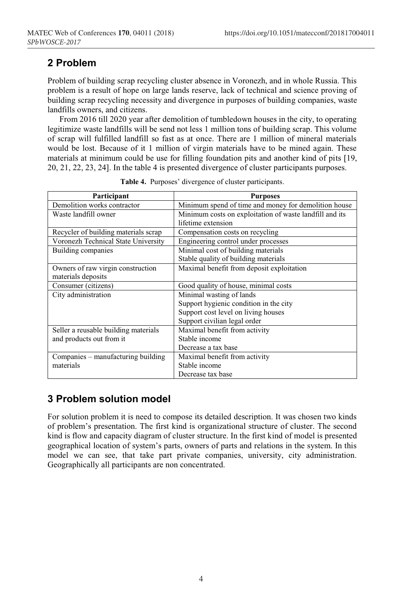## **2 Problem**

Problem of building scrap recycling cluster absence in Voronezh, and in whole Russia. This problem is a result of hope on large lands reserve, lack of technical and science proving of building scrap recycling necessity and divergence in purposes of building companies, waste landfills owners, and citizens.

From 2016 till 2020 year after demolition of tumbledown houses in the city, to operating legitimize waste landfills will be send not less 1 million tons of building scrap. This volume of scrap will fulfilled landfill so fast as at once. There are 1 million of mineral materials would be lost. Because of it 1 million of virgin materials have to be mined again. These materials at minimum could be use for filling foundation pits and another kind of pits [19, 20, 21, 22, 23, 24]. In the table 4 is presented divergence of cluster participants purposes.

| Participant                          | <b>Purposes</b>                                         |  |
|--------------------------------------|---------------------------------------------------------|--|
| Demolition works contractor          | Minimum spend of time and money for demolition house    |  |
| Waste landfill owner                 | Minimum costs on exploitation of waste landfill and its |  |
|                                      | lifetime extension                                      |  |
| Recycler of building materials scrap | Compensation costs on recycling                         |  |
| Voronezh Technical State University  | Engineering control under processes                     |  |
| Building companies                   | Minimal cost of building materials                      |  |
|                                      | Stable quality of building materials                    |  |
| Owners of raw virgin construction    | Maximal benefit from deposit exploitation               |  |
| materials deposits                   |                                                         |  |
| Consumer (citizens)                  | Good quality of house, minimal costs                    |  |
| City administration                  | Minimal wasting of lands                                |  |
|                                      | Support hygienic condition in the city                  |  |
|                                      | Support cost level on living houses                     |  |
|                                      | Support civilian legal order                            |  |
| Seller a reusable building materials | Maximal benefit from activity                           |  |
| and products out from it             | Stable income                                           |  |
|                                      | Decrease a tax base                                     |  |
| Companies – manufacturing building   | Maximal benefit from activity                           |  |
| materials                            | Stable income                                           |  |
|                                      | Decrease tax base                                       |  |

**Table 4.** Purposes' divergence of cluster participants.

## **3 Problem solution model**

For solution problem it is need to compose its detailed description. It was chosen two kinds of problem's presentation. The first kind is organizational structure of cluster. The second kind is flow and capacity diagram of cluster structure. In the first kind of model is presented geographical location of system's parts, owners of parts and relations in the system. In this model we can see, that take part private companies, university, city administration. Geographically all participants are non concentrated.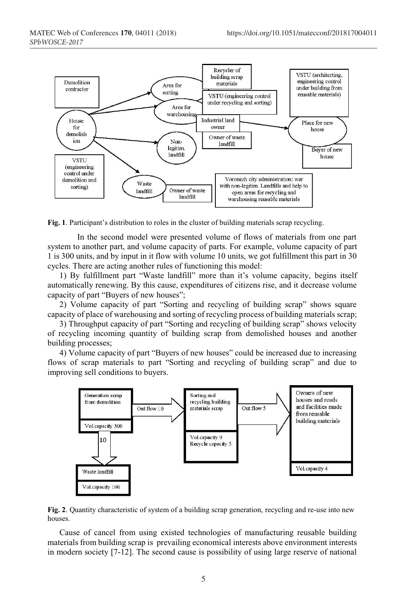

**Fig. 1**. Participant's distribution to roles in the cluster of building materials scrap recycling.

In the second model were presented volume of flows of materials from one part system to another part, and volume capacity of parts. For example, volume capacity of part 1 is 300 units, and by input in it flow with volume 10 units, we got fulfillment this part in 30 cycles. There are acting another rules of functioning this model:

1) By fulfillment part "Waste landfill" more than it's volume capacity, begins itself automatically renewing. By this cause, expenditures of citizens rise, and it decrease volume capacity of part "Buyers of new houses";

2) Volume capacity of part "Sorting and recycling of building scrap" shows square capacity of place of warehousing and sorting of recycling process of building materials scrap;

3) Throughput capacity of part "Sorting and recycling of building scrap" shows velocity of recycling incoming quantity of building scrap from demolished houses and another building processes;

4) Volume capacity of part "Buyers of new houses" could be increased due to increasing flows of scrap materials to part "Sorting and recycling of building scrap" and due to improving sell conditions to buyers.





Cause of cancel from using existed technologies of manufacturing reusable building materials from building scrap is prevailing economical interests above environment interests in modern society [7-12]. The second cause is possibility of using large reserve of national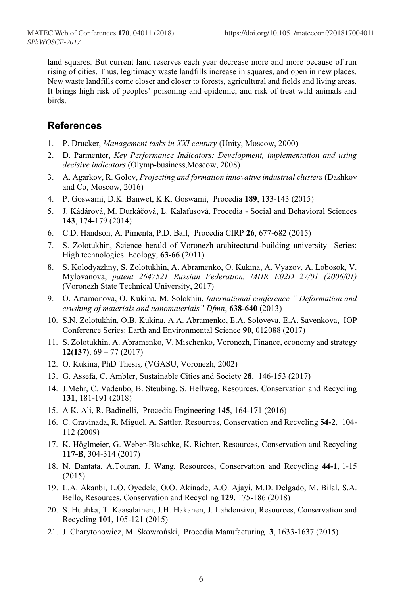land squares. But current land reserves each year decrease more and more because of run rising of cities. Thus, legitimacy waste landfills increase in squares, and open in new places. New waste landfills come closer and closer to forests, agricultural and fields and living areas. It brings high risk of peoples' poisoning and epidemic, and risk of treat wild animals and birds.

#### **References**

- 1. P. Drucker, *Management tasks in XXI century* (Unity, Moscow, 2000)
- 2. D. Parmenter, *Key Performance Indicators: Development, implementation and using decisive indicators* (Olymp-business,Moscow, 2008)
- 3. A. Agarkov, R. Golov, *Projecting and formation innovative industrial clusters* (Dashkov and Co, Moscow, 2016)
- 4. P. Goswami, D.K. Banwet, K.K. Goswami, Procedia **189**, 133-143 (2015)
- 5. J. Kádárová, M. Durkáčová, L. Kalafusová, Procedia Social and Behavioral Sciences **143**, 174-179 (2014)
- 6. C.D. Handson, A. Pimenta, P.D. Ball, Procedia CIRP **26**, 677-682 (2015)
- 7. S. Zolotukhin, Science herald of Voronezh architectural-building university Series: High technologies. Ecology, **63-66** (2011)
- 8. S. Kolodyazhny, S. Zolotukhin, A. Abramenko, O. Kukina, A. Vyazov, A. Lobosok, V. Mylovanova, *patent 2647521 Russian Federation, МПК E02D 27/01 (2006/01)*  (Voronezh State Technical University, 2017)
- 9. O. Artamonova, O. Kukina, M. Solokhin, *International conference " Deformation and crushing of materials and nanomaterials" Dfmn*, **638-640** (2013)
- 10. S.N. Zolotukhin, O.B. Kukina, A.A. Abramenko, E.A. Soloveva, E.A. Savenkova, IOP Conference Series: Earth and Environmental Science **90**, 012088 (2017)
- 11. S. Zolotukhin, A. Abramenko, V. Mischenko, Voronezh, Finance, economy and strategy **12(137)**, 69 – 77 (2017)
- 12. O. Kukina, PhD Thesis*,* (VGASU, Voronezh, 2002)
- 13. G. Assefa, C. Ambler, Sustainable Cities and Society **28**, 146-153 (2017)
- 14. J.Mehr, C. Vadenbo, B. Steubing, S. Hellweg, Resources, Conservation and Recycling **131**, 181-191 (2018)
- 15. A K. Ali, R. Badinelli, Procedia Engineering **145**, 164-171 (2016)
- 16. C. Gravinada, R. Miguel, A. Sattler, Resources, Conservation and Recycling **54-2**, 104- 112 (2009)
- 17. K. Höglmeier, G. Weber-Blaschke, K. Richter, Resources, Conservation and Recycling **117-B**, 304-314 (2017)
- 18. N. Dantata, A.Touran, J. Wang, Resources, Conservation and Recycling **44-1**, 1-15 (2015)
- 19. L.A. Akanbi, L.O. Oyedele, O.O. Akinade, A.O. Ajayi, M.D. Delgado, M. Bilal, S.A. Bello, Resources, Conservation and Recycling **129**, 175-186 (2018)
- 20. S. Huuhka, T. Kaasalainen, J.H. Hakanen, J. Lahdensivu, Resources, Conservation and Recycling **101**, 105-121 (2015)
- 21. J. Charytonowicz, M. Skowroński, Procedia Manufacturing **3**, 1633-1637 (2015)